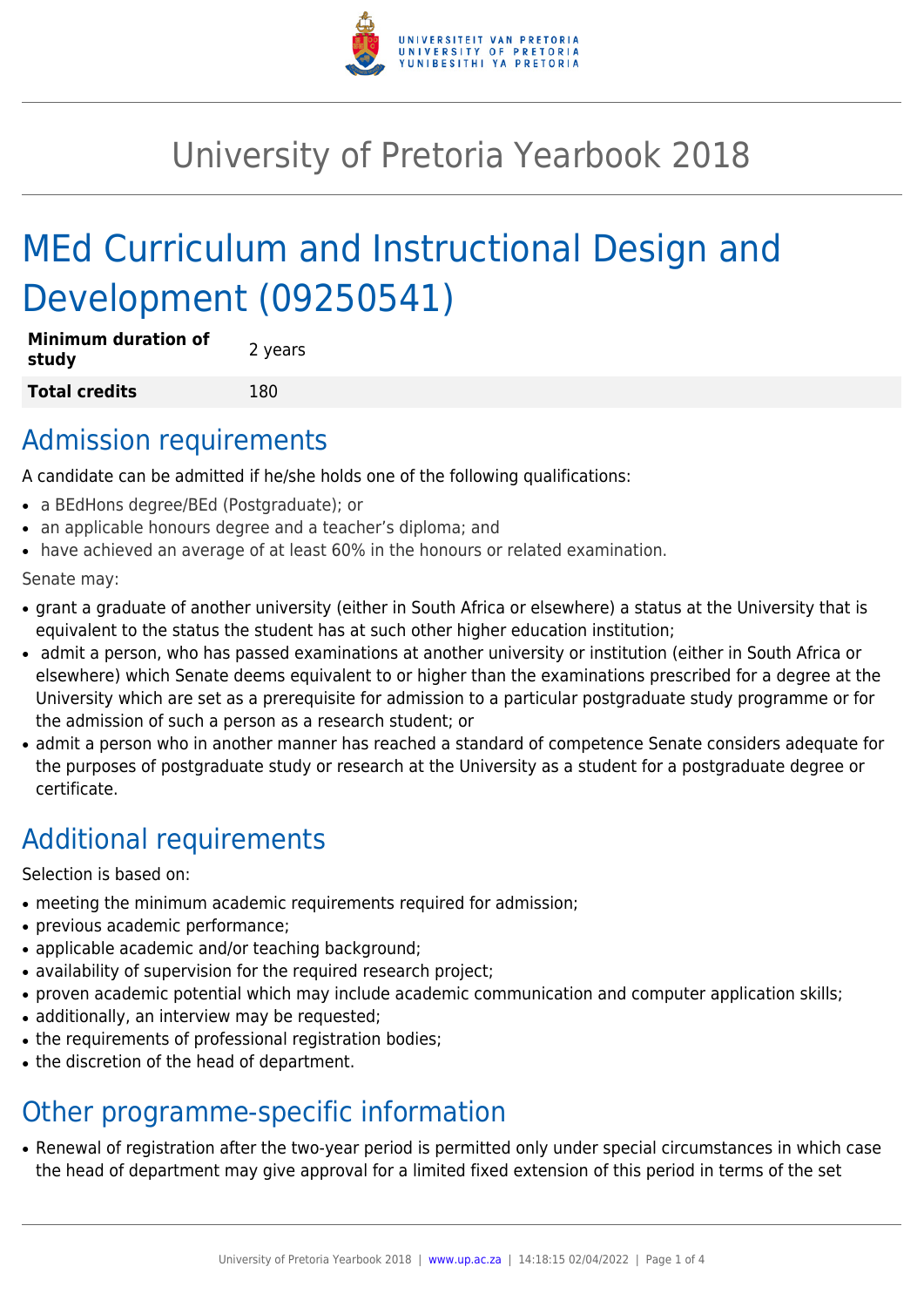

## University of Pretoria Yearbook 2018

# MEd Curriculum and Instructional Design and Development (09250541)

| <b>Minimum duration of</b><br>study | 2 years |
|-------------------------------------|---------|
| Total credits                       | 180     |

#### Admission requirements

A candidate can be admitted if he/she holds one of the following qualifications:

- a BEdHons degree/BEd (Postgraduate); or
- an applicable honours degree and a teacher's diploma; and
- have achieved an average of at least 60% in the honours or related examination.

Senate may:

- grant a graduate of another university (either in South Africa or elsewhere) a status at the University that is equivalent to the status the student has at such other higher education institution;
- admit a person, who has passed examinations at another university or institution (either in South Africa or elsewhere) which Senate deems equivalent to or higher than the examinations prescribed for a degree at the University which are set as a prerequisite for admission to a particular postgraduate study programme or for the admission of such a person as a research student; or
- admit a person who in another manner has reached a standard of competence Senate considers adequate for the purposes of postgraduate study or research at the University as a student for a postgraduate degree or certificate.

### Additional requirements

Selection is based on:

- meeting the minimum academic requirements required for admission;
- previous academic performance;
- applicable academic and/or teaching background;
- availability of supervision for the required research project;
- proven academic potential which may include academic communication and computer application skills;
- additionally, an interview may be requested;
- the requirements of professional registration bodies;
- the discretion of the head of department.

### Other programme-specific information

• Renewal of registration after the two-year period is permitted only under special circumstances in which case the head of department may give approval for a limited fixed extension of this period in terms of the set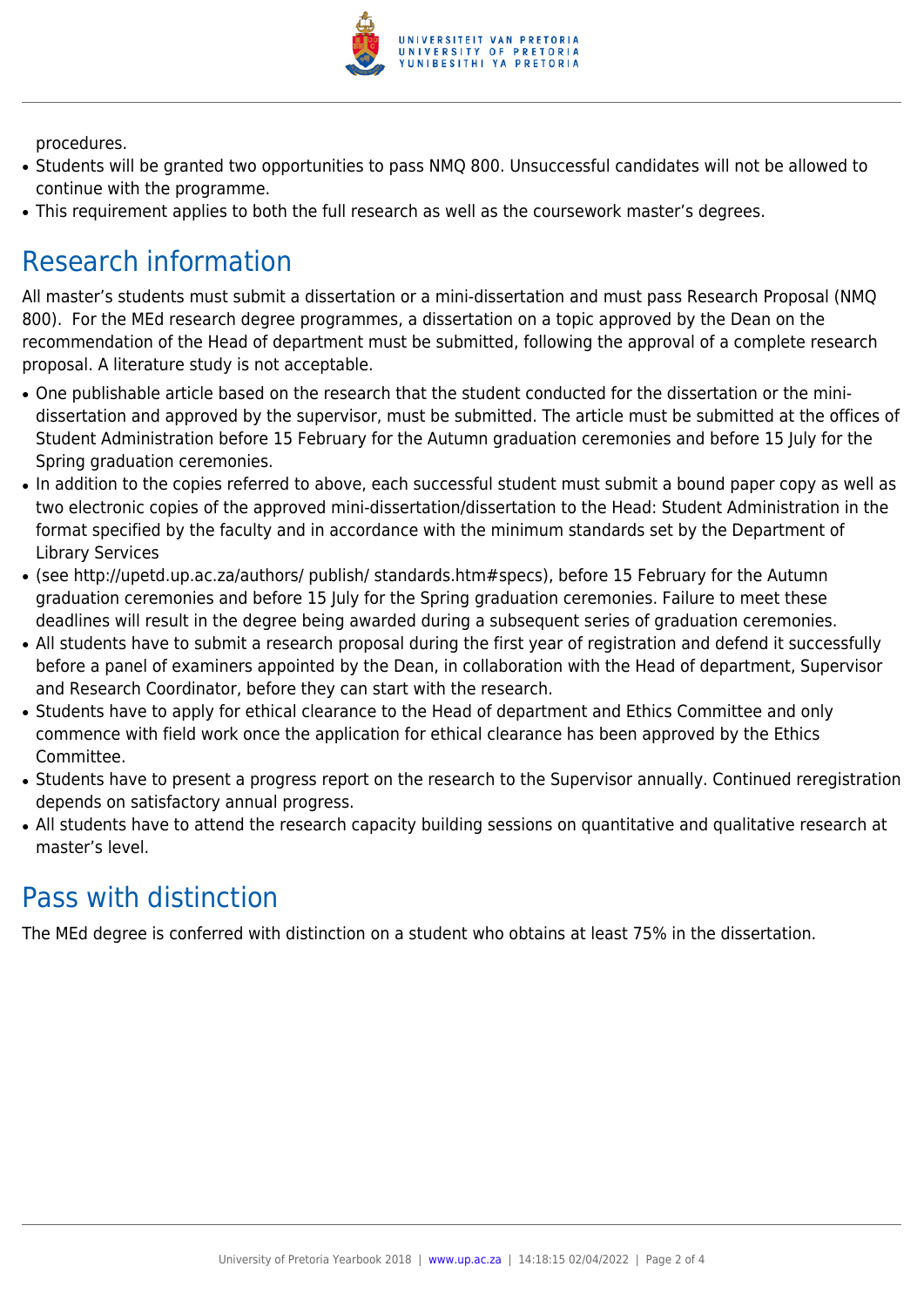

procedures.

- Students will be granted two opportunities to pass NMQ 800. Unsuccessful candidates will not be allowed to continue with the programme.
- This requirement applies to both the full research as well as the coursework master's degrees.

### Research information

All master's students must submit a dissertation or a mini-dissertation and must pass Research Proposal (NMQ 800). For the MEd research degree programmes, a dissertation on a topic approved by the Dean on the recommendation of the Head of department must be submitted, following the approval of a complete research proposal. A literature study is not acceptable.

- One publishable article based on the research that the student conducted for the dissertation or the minidissertation and approved by the supervisor, must be submitted. The article must be submitted at the offices of Student Administration before 15 February for the Autumn graduation ceremonies and before 15 July for the Spring graduation ceremonies.
- In addition to the copies referred to above, each successful student must submit a bound paper copy as well as two electronic copies of the approved mini-dissertation/dissertation to the Head: Student Administration in the format specified by the faculty and in accordance with the minimum standards set by the Department of Library Services
- (see http://upetd.up.ac.za/authors/ publish/ standards.htm#specs), before 15 February for the Autumn graduation ceremonies and before 15 July for the Spring graduation ceremonies. Failure to meet these deadlines will result in the degree being awarded during a subsequent series of graduation ceremonies.
- All students have to submit a research proposal during the first year of registration and defend it successfully before a panel of examiners appointed by the Dean, in collaboration with the Head of department, Supervisor and Research Coordinator, before they can start with the research.
- Students have to apply for ethical clearance to the Head of department and Ethics Committee and only commence with field work once the application for ethical clearance has been approved by the Ethics Committee.
- Students have to present a progress report on the research to the Supervisor annually. Continued reregistration depends on satisfactory annual progress.
- All students have to attend the research capacity building sessions on quantitative and qualitative research at master's level.

### Pass with distinction

The MEd degree is conferred with distinction on a student who obtains at least 75% in the dissertation.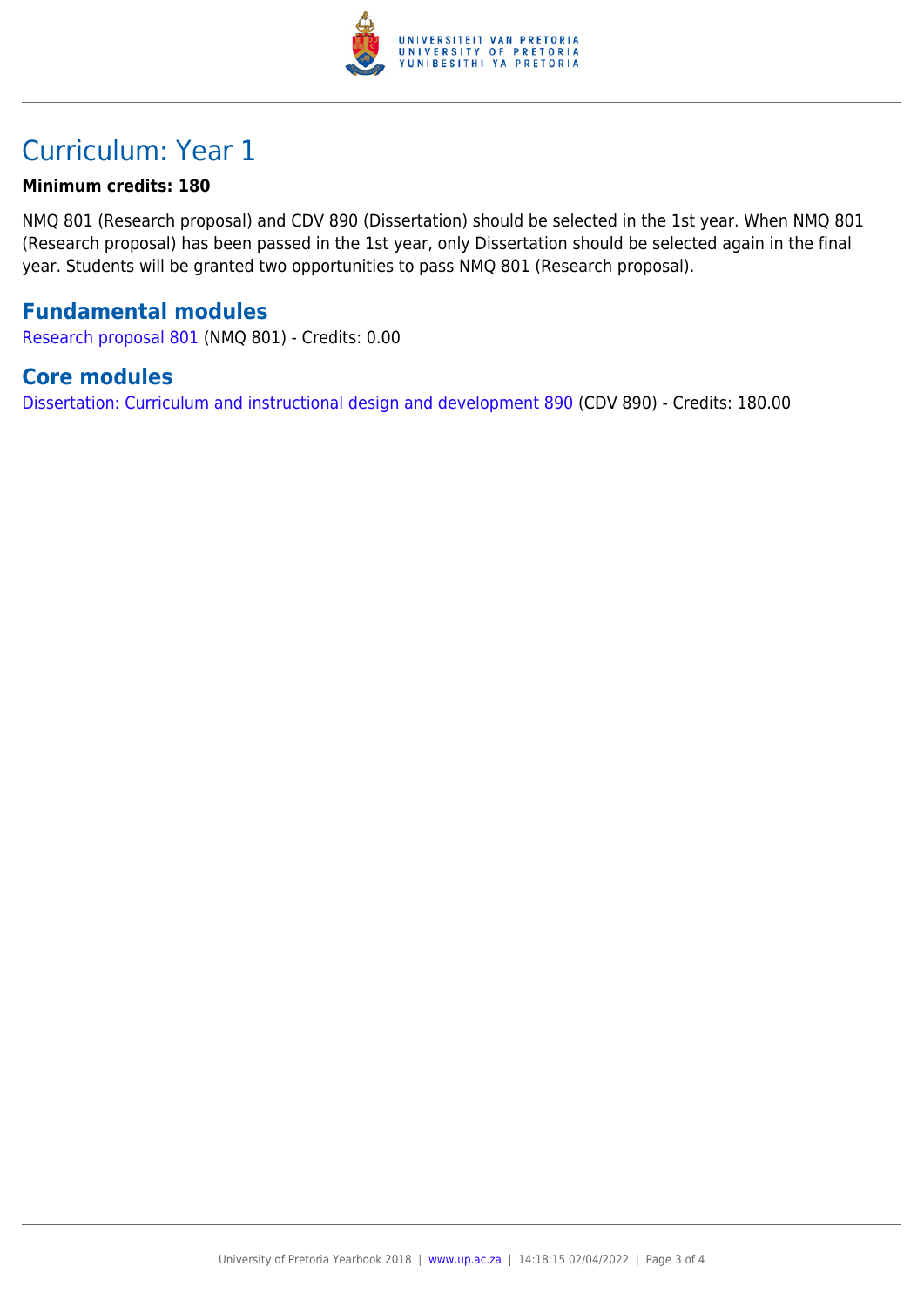

### Curriculum: Year 1

#### **Minimum credits: 180**

NMQ 801 (Research proposal) and CDV 890 (Dissertation) should be selected in the 1st year. When NMQ 801 (Research proposal) has been passed in the 1st year, only Dissertation should be selected again in the final year. Students will be granted two opportunities to pass NMQ 801 (Research proposal).

#### **Fundamental modules**

[Research proposal 801](https://www.up.ac.za/yearbooks/2018/modules/view/NMQ 801) (NMQ 801) - Credits: 0.00

#### **Core modules**

[Dissertation: Curriculum and instructional design and development 890](https://www.up.ac.za/yearbooks/2018/modules/view/CDV 890) (CDV 890) - Credits: 180.00